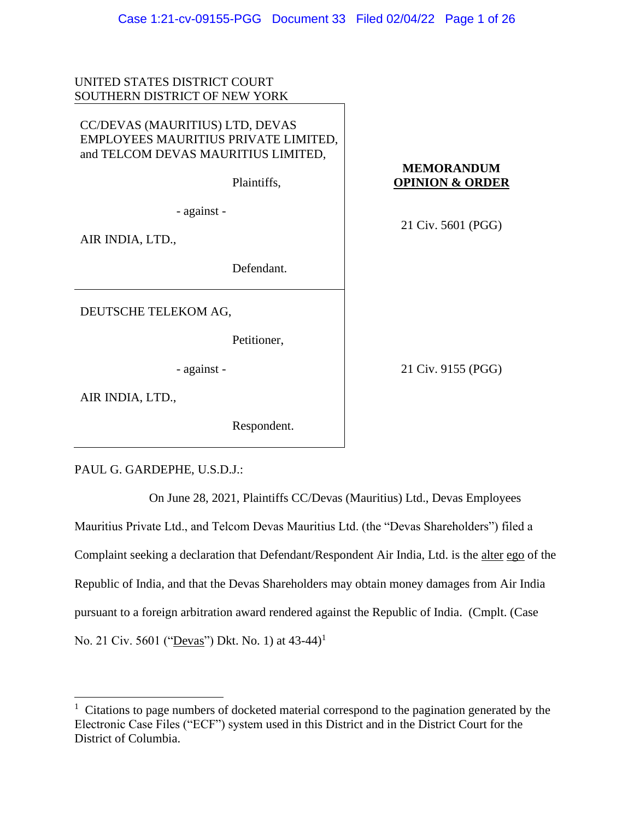| UNITED STATES DISTRICT COURT                                                                                                  |                                                 |
|-------------------------------------------------------------------------------------------------------------------------------|-------------------------------------------------|
| SOUTHERN DISTRICT OF NEW YORK                                                                                                 |                                                 |
| CC/DEVAS (MAURITIUS) LTD, DEVAS<br>EMPLOYEES MAURITIUS PRIVATE LIMITED,<br>and TELCOM DEVAS MAURITIUS LIMITED,<br>Plaintiffs, | <b>MEMORANDUM</b><br><b>OPINION &amp; ORDER</b> |
| - against -                                                                                                                   | 21 Civ. 5601 (PGG)                              |
| AIR INDIA, LTD.,                                                                                                              |                                                 |
| Defendant.                                                                                                                    |                                                 |
| DEUTSCHE TELEKOM AG,                                                                                                          |                                                 |
| Petitioner,                                                                                                                   |                                                 |
| - against -                                                                                                                   | 21 Civ. 9155 (PGG)                              |
| AIR INDIA, LTD.,                                                                                                              |                                                 |

Respondent.

PAUL G. GARDEPHE, U.S.D.J.:

On June 28, 2021, Plaintiffs CC/Devas (Mauritius) Ltd., Devas Employees

Mauritius Private Ltd., and Telcom Devas Mauritius Ltd. (the "Devas Shareholders") filed a Complaint seeking a declaration that Defendant/Respondent Air India, Ltd. is the alter ego of the Republic of India, and that the Devas Shareholders may obtain money damages from Air India pursuant to a foreign arbitration award rendered against the Republic of India. (Cmplt. (Case No. 21 Civ. 5601 ("Devas") Dkt. No. 1) at 43-44)<sup>1</sup>

 $1$  Citations to page numbers of docketed material correspond to the pagination generated by the Electronic Case Files ("ECF") system used in this District and in the District Court for the District of Columbia.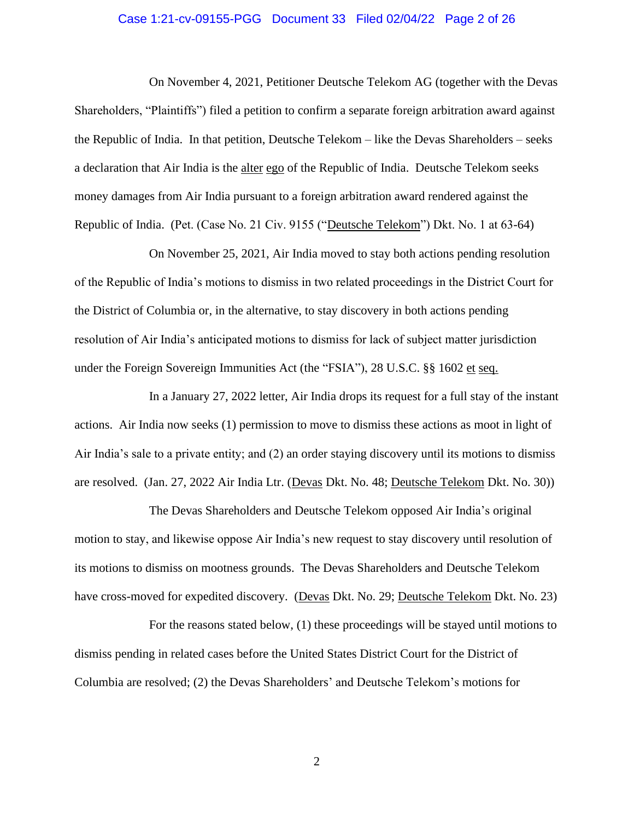# Case 1:21-cv-09155-PGG Document 33 Filed 02/04/22 Page 2 of 26

On November 4, 2021, Petitioner Deutsche Telekom AG (together with the Devas Shareholders, "Plaintiffs") filed a petition to confirm a separate foreign arbitration award against the Republic of India. In that petition, Deutsche Telekom – like the Devas Shareholders – seeks a declaration that Air India is the alter ego of the Republic of India. Deutsche Telekom seeks money damages from Air India pursuant to a foreign arbitration award rendered against the Republic of India. (Pet. (Case No. 21 Civ. 9155 ("Deutsche Telekom") Dkt. No. 1 at 63-64)

On November 25, 2021, Air India moved to stay both actions pending resolution of the Republic of India's motions to dismiss in two related proceedings in the District Court for the District of Columbia or, in the alternative, to stay discovery in both actions pending resolution of Air India's anticipated motions to dismiss for lack of subject matter jurisdiction under the Foreign Sovereign Immunities Act (the "FSIA"), 28 U.S.C. §§ 1602 et seq.

In a January 27, 2022 letter, Air India drops its request for a full stay of the instant actions. Air India now seeks (1) permission to move to dismiss these actions as moot in light of Air India's sale to a private entity; and (2) an order staying discovery until its motions to dismiss are resolved.(Jan. 27, 2022 Air India Ltr. (Devas Dkt. No. 48; Deutsche Telekom Dkt. No. 30))

The Devas Shareholders and Deutsche Telekom opposed Air India's original motion to stay, and likewise oppose Air India's new request to stay discovery until resolution of its motions to dismiss on mootness grounds. The Devas Shareholders and Deutsche Telekom have cross-moved for expedited discovery. (Devas Dkt. No. 29; Deutsche Telekom Dkt. No. 23)

For the reasons stated below, (1) these proceedings will be stayed until motions to dismiss pending in related cases before the United States District Court for the District of Columbia are resolved; (2) the Devas Shareholders' and Deutsche Telekom's motions for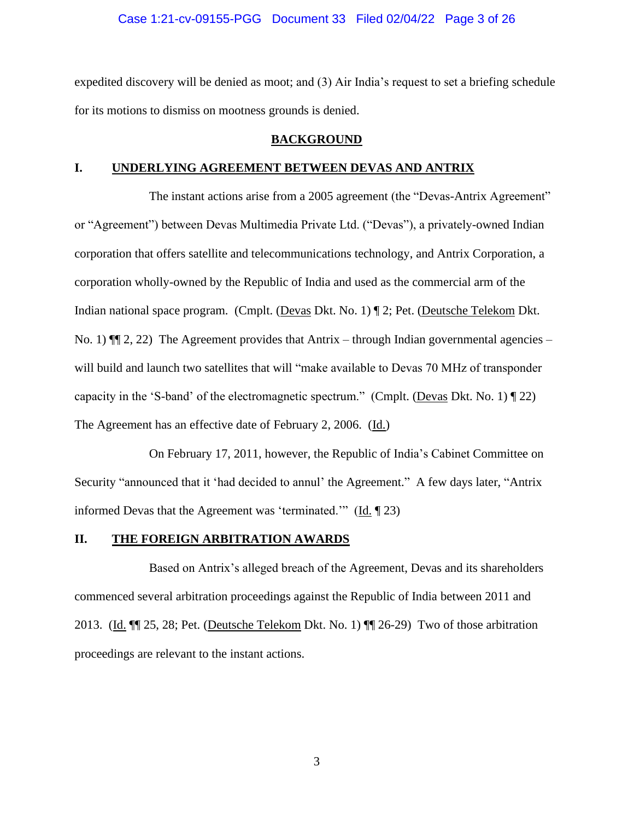### Case 1:21-cv-09155-PGG Document 33 Filed 02/04/22 Page 3 of 26

expedited discovery will be denied as moot; and (3) Air India's request to set a briefing schedule for its motions to dismiss on mootness grounds is denied.

#### **BACKGROUND**

#### **I. UNDERLYING AGREEMENT BETWEEN DEVAS AND ANTRIX**

The instant actions arise from a 2005 agreement (the "Devas-Antrix Agreement" or "Agreement") between Devas Multimedia Private Ltd. ("Devas"), a privately-owned Indian corporation that offers satellite and telecommunications technology, and Antrix Corporation, a corporation wholly-owned by the Republic of India and used as the commercial arm of the Indian national space program. (Cmplt. (Devas Dkt. No. 1) ¶ 2; Pet. (Deutsche Telekom Dkt. No. 1)  $\P$  2, 22) The Agreement provides that Antrix – through Indian governmental agencies – will build and launch two satellites that will "make available to Devas 70 MHz of transponder capacity in the 'S-band' of the electromagnetic spectrum." (Cmplt. (Devas Dkt. No. 1)  $\P$  22) The Agreement has an effective date of February 2, 2006. (Id.)

On February 17, 2011, however, the Republic of India's Cabinet Committee on Security "announced that it 'had decided to annul' the Agreement." A few days later, "Antrix informed Devas that the Agreement was 'terminated.'" ( $\underline{Id}$ .  $\P$  23)

# **II. THE FOREIGN ARBITRATION AWARDS**

Based on Antrix's alleged breach of the Agreement, Devas and its shareholders commenced several arbitration proceedings against the Republic of India between 2011 and 2013. (Id. ¶¶ 25, 28; Pet. (Deutsche Telekom Dkt. No. 1) ¶¶ 26-29) Two of those arbitration proceedings are relevant to the instant actions.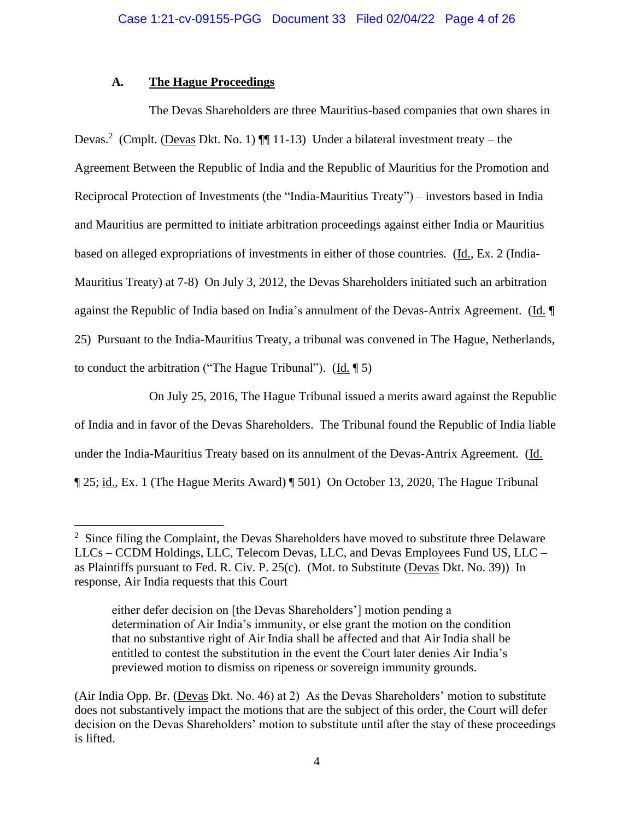# **A. The Hague Proceedings**

The Devas Shareholders are three Mauritius-based companies that own shares in Devas.<sup>2</sup> (Cmplt. (Devas Dkt. No. 1)  $\P$  11-13) Under a bilateral investment treaty – the Agreement Between the Republic of India and the Republic of Mauritius for the Promotion and Reciprocal Protection of Investments (the "India-Mauritius Treaty") – investors based in India and Mauritius are permitted to initiate arbitration proceedings against either India or Mauritius based on alleged expropriations of investments in either of those countries. (Id., Ex. 2 (India-Mauritius Treaty) at 7-8) On July 3, 2012, the Devas Shareholders initiated such an arbitration against the Republic of India based on India's annulment of the Devas-Antrix Agreement. (Id. ¶ 25) Pursuant to the India-Mauritius Treaty, a tribunal was convened in The Hague, Netherlands, to conduct the arbitration ("The Hague Tribunal").  $(\underline{Id}, \P 5)$ 

On July 25, 2016, The Hague Tribunal issued a merits award against the Republic of India and in favor of the Devas Shareholders. The Tribunal found the Republic of India liable under the India-Mauritius Treaty based on its annulment of the Devas-Antrix Agreement. (Id. ¶ 25; id., Ex. 1 (The Hague Merits Award) ¶ 501) On October 13, 2020, The Hague Tribunal

 $2$  Since filing the Complaint, the Devas Shareholders have moved to substitute three Delaware LLCs – CCDM Holdings, LLC, Telecom Devas, LLC, and Devas Employees Fund US, LLC – as Plaintiffs pursuant to Fed. R. Civ. P. 25(c). (Mot. to Substitute (Devas Dkt. No. 39)) In response, Air India requests that this Court

either defer decision on [the Devas Shareholders'] motion pending a determination of Air India's immunity, or else grant the motion on the condition that no substantive right of Air India shall be affected and that Air India shall be entitled to contest the substitution in the event the Court later denies Air India's previewed motion to dismiss on ripeness or sovereign immunity grounds.

<sup>(</sup>Air India Opp. Br. (Devas Dkt. No. 46) at 2) As the Devas Shareholders' motion to substitute does not substantively impact the motions that are the subject of this order, the Court will defer decision on the Devas Shareholders' motion to substitute until after the stay of these proceedings is lifted.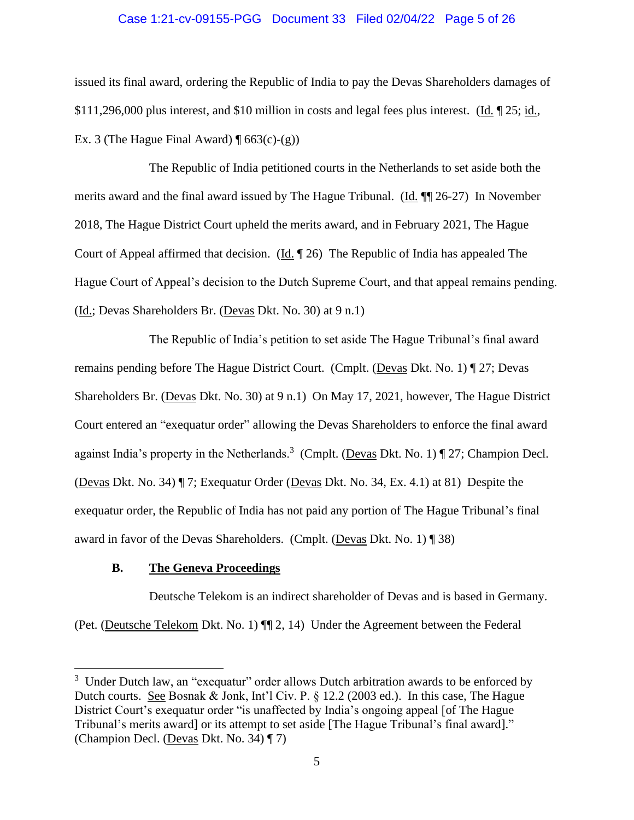# Case 1:21-cv-09155-PGG Document 33 Filed 02/04/22 Page 5 of 26

issued its final award, ordering the Republic of India to pay the Devas Shareholders damages of \$111,296,000 plus interest, and \$10 million in costs and legal fees plus interest. (Id. ¶ 25; id., Ex. 3 (The Hague Final Award)  $\P$  663(c)-(g))

The Republic of India petitioned courts in the Netherlands to set aside both the merits award and the final award issued by The Hague Tribunal. (Id. ¶¶ 26-27) In November 2018, The Hague District Court upheld the merits award, and in February 2021, The Hague Court of Appeal affirmed that decision. (Id. ¶ 26) The Republic of India has appealed The Hague Court of Appeal's decision to the Dutch Supreme Court, and that appeal remains pending. (Id.; Devas Shareholders Br. (Devas Dkt. No. 30) at 9 n.1)

The Republic of India's petition to set aside The Hague Tribunal's final award remains pending before The Hague District Court. (Cmplt. (Devas Dkt. No. 1) ¶ 27; Devas Shareholders Br. (Devas Dkt. No. 30) at 9 n.1) On May 17, 2021, however, The Hague District Court entered an "exequatur order" allowing the Devas Shareholders to enforce the final award against India's property in the Netherlands.<sup>3</sup> (Cmplt. (Devas Dkt. No. 1)  $\P$  27; Champion Decl. (Devas Dkt. No. 34) ¶ 7; Exequatur Order (Devas Dkt. No. 34, Ex. 4.1) at 81) Despite the exequatur order, the Republic of India has not paid any portion of The Hague Tribunal's final award in favor of the Devas Shareholders. (Cmplt. (Devas Dkt. No. 1) ¶ 38)

# **B. The Geneva Proceedings**

Deutsche Telekom is an indirect shareholder of Devas and is based in Germany. (Pet. (Deutsche Telekom Dkt. No. 1) ¶¶ 2, 14) Under the Agreement between the Federal

<sup>&</sup>lt;sup>3</sup> Under Dutch law, an "exequatur" order allows Dutch arbitration awards to be enforced by Dutch courts. See Bosnak & Jonk, Int'l Civ. P. § 12.2 (2003 ed.). In this case, The Hague District Court's exequatur order "is unaffected by India's ongoing appeal [of The Hague Tribunal's merits award] or its attempt to set aside [The Hague Tribunal's final award]." (Champion Decl. (Devas Dkt. No. 34) ¶ 7)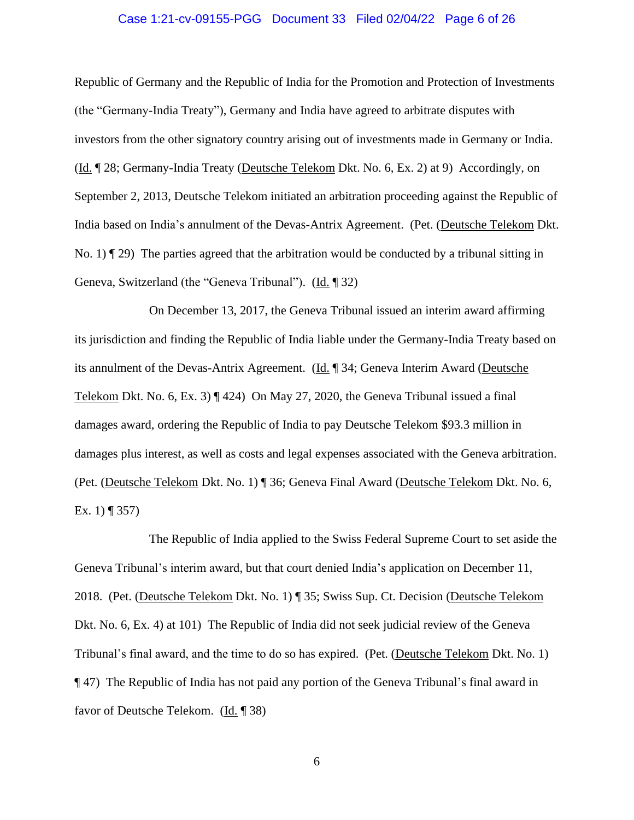# Case 1:21-cv-09155-PGG Document 33 Filed 02/04/22 Page 6 of 26

Republic of Germany and the Republic of India for the Promotion and Protection of Investments (the "Germany-India Treaty"), Germany and India have agreed to arbitrate disputes with investors from the other signatory country arising out of investments made in Germany or India. (Id. ¶ 28; Germany-India Treaty (Deutsche Telekom Dkt. No. 6, Ex. 2) at 9) Accordingly, on September 2, 2013, Deutsche Telekom initiated an arbitration proceeding against the Republic of India based on India's annulment of the Devas-Antrix Agreement. (Pet. (Deutsche Telekom Dkt. No. 1)  $\P$  29) The parties agreed that the arbitration would be conducted by a tribunal sitting in Geneva, Switzerland (the "Geneva Tribunal"). (Id. ¶ 32)

On December 13, 2017, the Geneva Tribunal issued an interim award affirming its jurisdiction and finding the Republic of India liable under the Germany-India Treaty based on its annulment of the Devas-Antrix Agreement. (Id. ¶ 34; Geneva Interim Award (Deutsche Telekom Dkt. No. 6, Ex. 3)  $\P$  424) On May 27, 2020, the Geneva Tribunal issued a final damages award, ordering the Republic of India to pay Deutsche Telekom \$93.3 million in damages plus interest, as well as costs and legal expenses associated with the Geneva arbitration. (Pet. (Deutsche Telekom Dkt. No. 1) ¶ 36; Geneva Final Award (Deutsche Telekom Dkt. No. 6, Ex. 1)  $\P$  357)

The Republic of India applied to the Swiss Federal Supreme Court to set aside the Geneva Tribunal's interim award, but that court denied India's application on December 11, 2018. (Pet. (Deutsche Telekom Dkt. No. 1) ¶ 35; Swiss Sup. Ct. Decision (Deutsche Telekom Dkt. No. 6, Ex. 4) at 101) The Republic of India did not seek judicial review of the Geneva Tribunal's final award, and the time to do so has expired. (Pet. (Deutsche Telekom Dkt. No. 1) ¶ 47) The Republic of India has not paid any portion of the Geneva Tribunal's final award in favor of Deutsche Telekom. (Id. ¶ 38)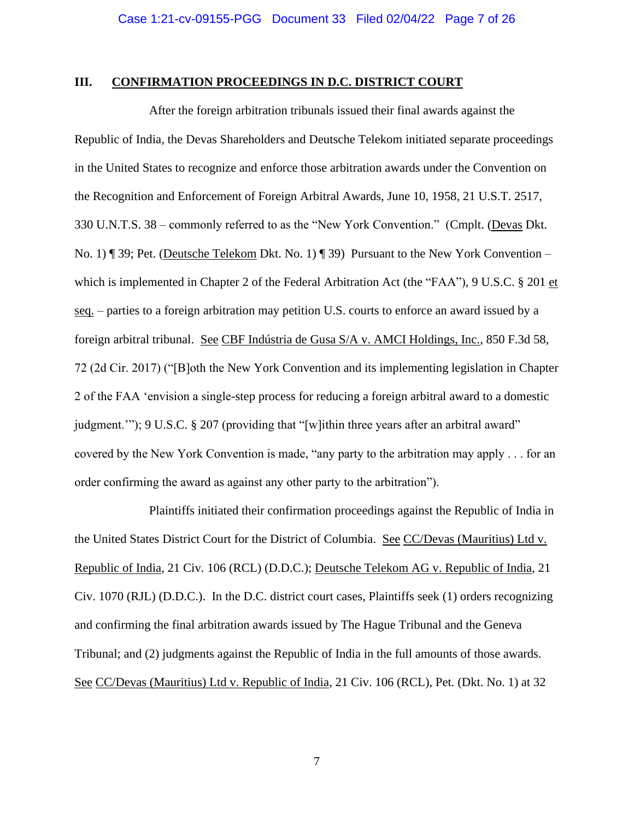# **III. CONFIRMATION PROCEEDINGS IN D.C. DISTRICT COURT**

After the foreign arbitration tribunals issued their final awards against the Republic of India, the Devas Shareholders and Deutsche Telekom initiated separate proceedings in the United States to recognize and enforce those arbitration awards under the Convention on the Recognition and Enforcement of Foreign Arbitral Awards, June 10, 1958, 21 U.S.T. 2517, 330 U.N.T.S. 38 – commonly referred to as the "New York Convention." (Cmplt. (Devas Dkt. No. 1) ¶ 39; Pet. (Deutsche Telekom Dkt. No. 1) ¶ 39) Pursuant to the New York Convention – which is implemented in Chapter 2 of the Federal Arbitration Act (the "FAA"), 9 U.S.C. § 201 et seq. – parties to a foreign arbitration may petition U.S. courts to enforce an award issued by a foreign arbitral tribunal. See CBF Indústria de Gusa S/A v. AMCI Holdings, Inc., 850 F.3d 58, 72 (2d Cir. 2017) ("[B]oth the New York Convention and its implementing legislation in Chapter 2 of the FAA 'envision a single-step process for reducing a foreign arbitral award to a domestic judgment.""); 9 U.S.C. § 207 (providing that "[w]ithin three years after an arbitral award" covered by the New York Convention is made, "any party to the arbitration may apply . . . for an order confirming the award as against any other party to the arbitration").

Plaintiffs initiated their confirmation proceedings against the Republic of India in the United States District Court for the District of Columbia. See CC/Devas (Mauritius) Ltd v. Republic of India, 21 Civ. 106 (RCL) (D.D.C.); Deutsche Telekom AG v. Republic of India, 21 Civ. 1070 (RJL) (D.D.C.). In the D.C. district court cases, Plaintiffs seek (1) orders recognizing and confirming the final arbitration awards issued by The Hague Tribunal and the Geneva Tribunal; and (2) judgments against the Republic of India in the full amounts of those awards. See CC/Devas (Mauritius) Ltd v. Republic of India, 21 Civ. 106 (RCL), Pet. (Dkt. No. 1) at 32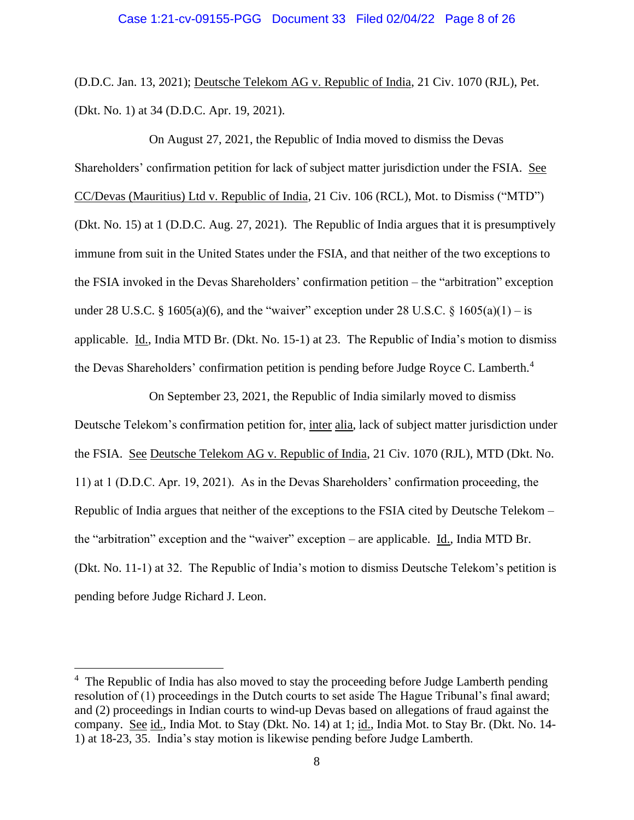(D.D.C. Jan. 13, 2021); Deutsche Telekom AG v. Republic of India, 21 Civ. 1070 (RJL), Pet. (Dkt. No. 1) at 34 (D.D.C. Apr. 19, 2021).

On August 27, 2021, the Republic of India moved to dismiss the Devas Shareholders' confirmation petition for lack of subject matter jurisdiction under the FSIA. See CC/Devas (Mauritius) Ltd v. Republic of India, 21 Civ. 106 (RCL), Mot. to Dismiss ("MTD") (Dkt. No. 15) at 1 (D.D.C. Aug. 27, 2021). The Republic of India argues that it is presumptively immune from suit in the United States under the FSIA, and that neither of the two exceptions to the FSIA invoked in the Devas Shareholders' confirmation petition – the "arbitration" exception under 28 U.S.C. § 1605(a)(6), and the "waiver" exception under 28 U.S.C. § 1605(a)(1) – is applicable. Id., India MTD Br. (Dkt. No. 15-1) at 23. The Republic of India's motion to dismiss the Devas Shareholders' confirmation petition is pending before Judge Royce C. Lamberth.<sup>4</sup>

On September 23, 2021, the Republic of India similarly moved to dismiss Deutsche Telekom's confirmation petition for, inter alia, lack of subject matter jurisdiction under the FSIA. See Deutsche Telekom AG v. Republic of India, 21 Civ. 1070 (RJL), MTD (Dkt. No. 11) at 1 (D.D.C. Apr. 19, 2021). As in the Devas Shareholders' confirmation proceeding, the Republic of India argues that neither of the exceptions to the FSIA cited by Deutsche Telekom – the "arbitration" exception and the "waiver" exception – are applicable. Id., India MTD Br. (Dkt. No. 11-1) at 32. The Republic of India's motion to dismiss Deutsche Telekom's petition is pending before Judge Richard J. Leon.

<sup>&</sup>lt;sup>4</sup> The Republic of India has also moved to stay the proceeding before Judge Lamberth pending resolution of (1) proceedings in the Dutch courts to set aside The Hague Tribunal's final award; and (2) proceedings in Indian courts to wind-up Devas based on allegations of fraud against the company. See id., India Mot. to Stay (Dkt. No. 14) at 1; id., India Mot. to Stay Br. (Dkt. No. 14- 1) at 18-23, 35. India's stay motion is likewise pending before Judge Lamberth.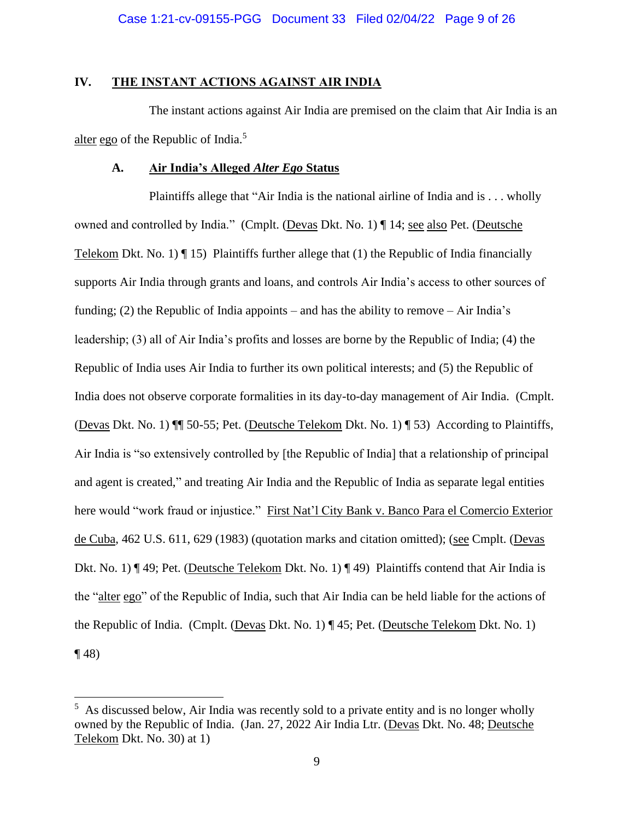# **IV. THE INSTANT ACTIONS AGAINST AIR INDIA**

The instant actions against Air India are premised on the claim that Air India is an alter ego of the Republic of India.<sup>5</sup>

# **A. Air India's Alleged** *Alter Ego* **Status**

Plaintiffs allege that "Air India is the national airline of India and is . . . wholly owned and controlled by India." (Cmplt. (Devas Dkt. No. 1) ¶ 14; see also Pet. (Deutsche Telekom Dkt. No. 1)  $\P$  15) Plaintiffs further allege that (1) the Republic of India financially supports Air India through grants and loans, and controls Air India's access to other sources of funding; (2) the Republic of India appoints – and has the ability to remove – Air India's leadership; (3) all of Air India's profits and losses are borne by the Republic of India; (4) the Republic of India uses Air India to further its own political interests; and (5) the Republic of India does not observe corporate formalities in its day-to-day management of Air India. (Cmplt. (Devas Dkt. No. 1) ¶¶ 50-55; Pet. (Deutsche Telekom Dkt. No. 1) ¶ 53) According to Plaintiffs, Air India is "so extensively controlled by [the Republic of India] that a relationship of principal and agent is created," and treating Air India and the Republic of India as separate legal entities here would "work fraud or injustice." First Nat'l City Bank v. Banco Para el Comercio Exterior de Cuba, 462 U.S. 611, 629 (1983) (quotation marks and citation omitted); (see Cmplt. (Devas Dkt. No. 1) ¶ 49; Pet. (Deutsche Telekom Dkt. No. 1) ¶ 49) Plaintiffs contend that Air India is the "alter ego" of the Republic of India, such that Air India can be held liable for the actions of the Republic of India. (Cmplt. (Devas Dkt. No. 1) ¶ 45; Pet. (Deutsche Telekom Dkt. No. 1)  $\P(48)$ 

 $<sup>5</sup>$  As discussed below, Air India was recently sold to a private entity and is no longer wholly</sup> owned by the Republic of India. (Jan. 27, 2022 Air India Ltr. (Devas Dkt. No. 48; Deutsche Telekom Dkt. No. 30) at 1)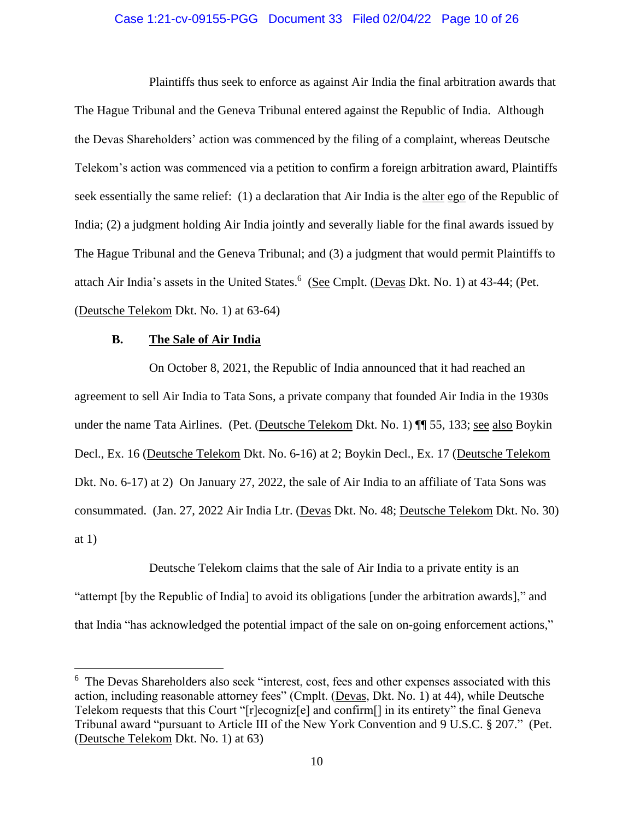# Case 1:21-cv-09155-PGG Document 33 Filed 02/04/22 Page 10 of 26

Plaintiffs thus seek to enforce as against Air India the final arbitration awards that The Hague Tribunal and the Geneva Tribunal entered against the Republic of India. Although the Devas Shareholders' action was commenced by the filing of a complaint, whereas Deutsche Telekom's action was commenced via a petition to confirm a foreign arbitration award, Plaintiffs seek essentially the same relief: (1) a declaration that Air India is the alter ego of the Republic of India; (2) a judgment holding Air India jointly and severally liable for the final awards issued by The Hague Tribunal and the Geneva Tribunal; and (3) a judgment that would permit Plaintiffs to attach Air India's assets in the United States.<sup>6</sup> (See Cmplt. (Devas Dkt. No. 1) at 43-44; (Pet. (Deutsche Telekom Dkt. No. 1) at 63-64)

### **B. The Sale of Air India**

On October 8, 2021, the Republic of India announced that it had reached an agreement to sell Air India to Tata Sons, a private company that founded Air India in the 1930s under the name Tata Airlines. (Pet. (Deutsche Telekom Dkt. No. 1) ¶¶ 55, 133; see also Boykin Decl., Ex. 16 (Deutsche Telekom Dkt. No. 6-16) at 2; Boykin Decl., Ex. 17 (Deutsche Telekom Dkt. No. 6-17) at 2) On January 27, 2022, the sale of Air India to an affiliate of Tata Sons was consummated. (Jan. 27, 2022 Air India Ltr. (Devas Dkt. No. 48; Deutsche Telekom Dkt. No. 30) at 1)

Deutsche Telekom claims that the sale of Air India to a private entity is an "attempt [by the Republic of India] to avoid its obligations [under the arbitration awards]," and that India "has acknowledged the potential impact of the sale on on-going enforcement actions,"

<sup>&</sup>lt;sup>6</sup> The Devas Shareholders also seek "interest, cost, fees and other expenses associated with this action, including reasonable attorney fees" (Cmplt. (Devas, Dkt. No. 1) at 44), while Deutsche Telekom requests that this Court "[r]ecogniz[e] and confirm[] in its entirety" the final Geneva Tribunal award "pursuant to Article III of the New York Convention and 9 U.S.C. § 207." (Pet. (Deutsche Telekom Dkt. No. 1) at 63)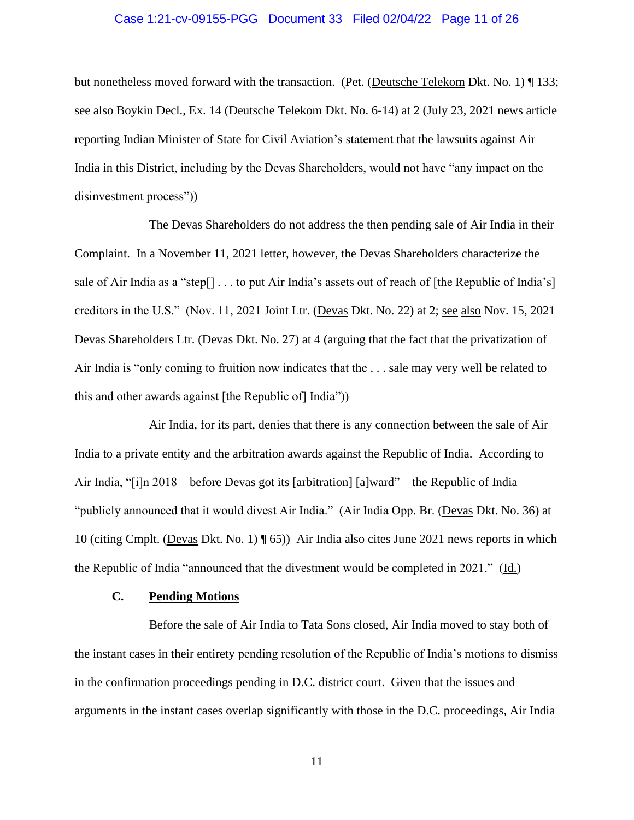# Case 1:21-cv-09155-PGG Document 33 Filed 02/04/22 Page 11 of 26

but nonetheless moved forward with the transaction. (Pet. (Deutsche Telekom Dkt. No. 1) ¶ 133; see also Boykin Decl., Ex. 14 (Deutsche Telekom Dkt. No. 6-14) at 2 (July 23, 2021 news article reporting Indian Minister of State for Civil Aviation's statement that the lawsuits against Air India in this District, including by the Devas Shareholders, would not have "any impact on the disinvestment process"))

The Devas Shareholders do not address the then pending sale of Air India in their Complaint. In a November 11, 2021 letter, however, the Devas Shareholders characterize the sale of Air India as a "step[] . . . to put Air India's assets out of reach of [the Republic of India's] creditors in the U.S." (Nov. 11, 2021 Joint Ltr. (Devas Dkt. No. 22) at 2; see also Nov. 15, 2021 Devas Shareholders Ltr. (Devas Dkt. No. 27) at 4 (arguing that the fact that the privatization of Air India is "only coming to fruition now indicates that the . . . sale may very well be related to this and other awards against [the Republic of] India"))

Air India, for its part, denies that there is any connection between the sale of Air India to a private entity and the arbitration awards against the Republic of India. According to Air India, "[i]n 2018 – before Devas got its [arbitration] [a]ward" – the Republic of India "publicly announced that it would divest Air India." (Air India Opp. Br. (Devas Dkt. No. 36) at 10 (citing Cmplt. (Devas Dkt. No. 1) ¶ 65)) Air India also cites June 2021 news reports in which the Republic of India "announced that the divestment would be completed in 2021." (Id.)

# **C. Pending Motions**

Before the sale of Air India to Tata Sons closed, Air India moved to stay both of the instant cases in their entirety pending resolution of the Republic of India's motions to dismiss in the confirmation proceedings pending in D.C. district court. Given that the issues and arguments in the instant cases overlap significantly with those in the D.C. proceedings, Air India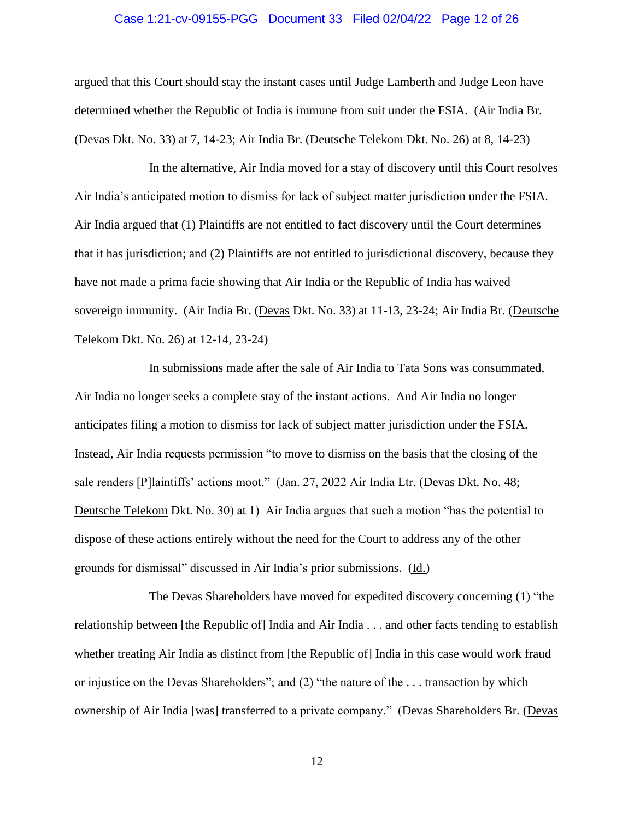# Case 1:21-cv-09155-PGG Document 33 Filed 02/04/22 Page 12 of 26

argued that this Court should stay the instant cases until Judge Lamberth and Judge Leon have determined whether the Republic of India is immune from suit under the FSIA. (Air India Br. (Devas Dkt. No. 33) at 7, 14-23; Air India Br. (Deutsche Telekom Dkt. No. 26) at 8, 14-23)

In the alternative, Air India moved for a stay of discovery until this Court resolves Air India's anticipated motion to dismiss for lack of subject matter jurisdiction under the FSIA. Air India argued that (1) Plaintiffs are not entitled to fact discovery until the Court determines that it has jurisdiction; and (2) Plaintiffs are not entitled to jurisdictional discovery, because they have not made a prima facie showing that Air India or the Republic of India has waived sovereign immunity. (Air India Br. (Devas Dkt. No. 33) at 11-13, 23-24; Air India Br. (Deutsche Telekom Dkt. No. 26) at 12-14, 23-24)

In submissions made after the sale of Air India to Tata Sons was consummated, Air India no longer seeks a complete stay of the instant actions. And Air India no longer anticipates filing a motion to dismiss for lack of subject matter jurisdiction under the FSIA. Instead, Air India requests permission "to move to dismiss on the basis that the closing of the sale renders [P]laintiffs' actions moot." (Jan. 27, 2022 Air India Ltr. (Devas Dkt. No. 48; Deutsche Telekom Dkt. No. 30) at 1) Air India argues that such a motion "has the potential to dispose of these actions entirely without the need for the Court to address any of the other grounds for dismissal" discussed in Air India's prior submissions. (Id.)

The Devas Shareholders have moved for expedited discovery concerning (1) "the relationship between [the Republic of] India and Air India . . . and other facts tending to establish whether treating Air India as distinct from [the Republic of] India in this case would work fraud or injustice on the Devas Shareholders"; and (2) "the nature of the . . . transaction by which ownership of Air India [was] transferred to a private company." (Devas Shareholders Br. (Devas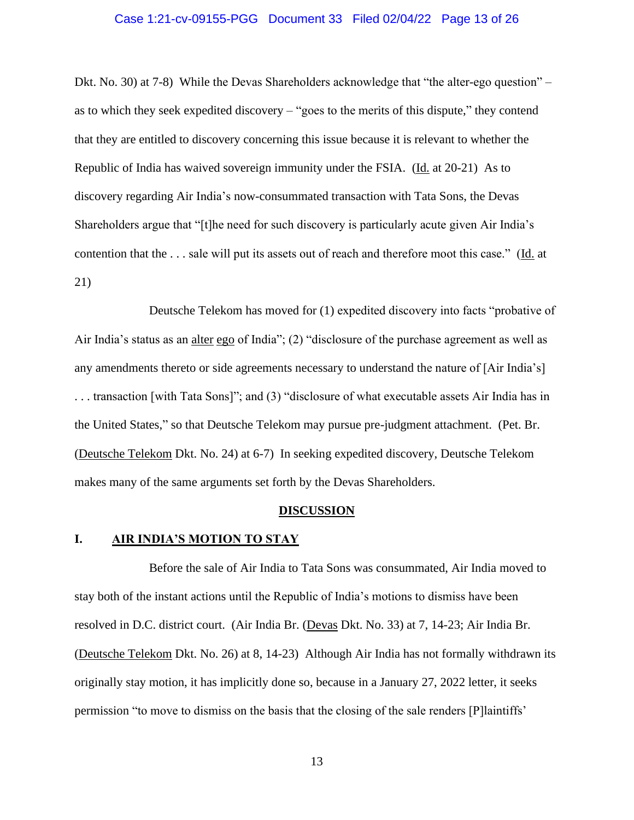# Case 1:21-cv-09155-PGG Document 33 Filed 02/04/22 Page 13 of 26

Dkt. No. 30) at 7-8) While the Devas Shareholders acknowledge that "the alter-ego question" – as to which they seek expedited discovery – "goes to the merits of this dispute," they contend that they are entitled to discovery concerning this issue because it is relevant to whether the Republic of India has waived sovereign immunity under the FSIA. (Id. at 20-21) As to discovery regarding Air India's now-consummated transaction with Tata Sons, the Devas Shareholders argue that "[t]he need for such discovery is particularly acute given Air India's contention that the . . . sale will put its assets out of reach and therefore moot this case." (Id. at 21)

Deutsche Telekom has moved for (1) expedited discovery into facts "probative of Air India's status as an alter ego of India"; (2) "disclosure of the purchase agreement as well as any amendments thereto or side agreements necessary to understand the nature of [Air India's] . . . transaction [with Tata Sons]"; and (3) "disclosure of what executable assets Air India has in the United States," so that Deutsche Telekom may pursue pre-judgment attachment. (Pet. Br. (Deutsche Telekom Dkt. No. 24) at 6-7) In seeking expedited discovery, Deutsche Telekom makes many of the same arguments set forth by the Devas Shareholders.

#### **DISCUSSION**

#### **I. AIR INDIA'S MOTION TO STAY**

Before the sale of Air India to Tata Sons was consummated, Air India moved to stay both of the instant actions until the Republic of India's motions to dismiss have been resolved in D.C. district court. (Air India Br. (Devas Dkt. No. 33) at 7, 14-23; Air India Br. (Deutsche Telekom Dkt. No. 26) at 8, 14-23) Although Air India has not formally withdrawn its originally stay motion, it has implicitly done so, because in a January 27, 2022 letter, it seeks permission "to move to dismiss on the basis that the closing of the sale renders [P]laintiffs'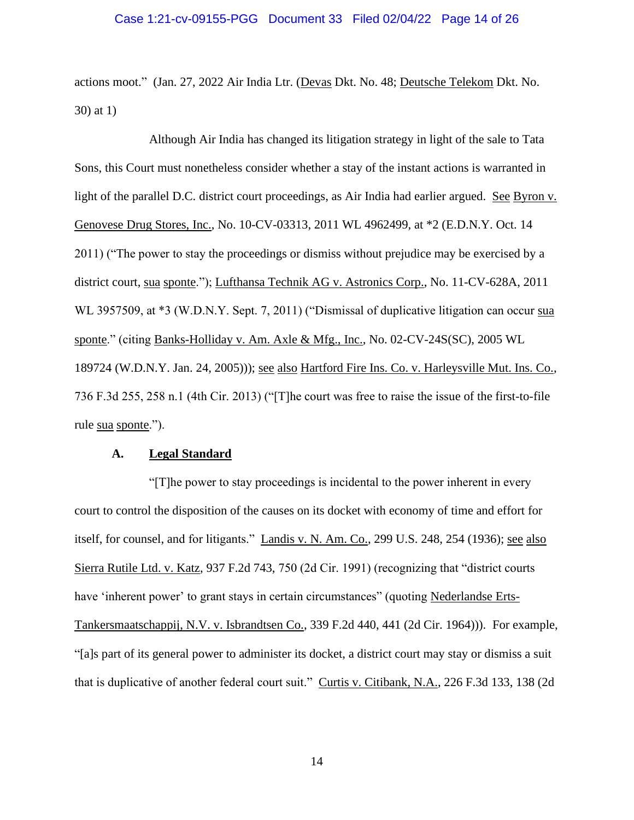actions moot." (Jan. 27, 2022 Air India Ltr. (Devas Dkt. No. 48; Deutsche Telekom Dkt. No. 30) at 1)

Although Air India has changed its litigation strategy in light of the sale to Tata Sons, this Court must nonetheless consider whether a stay of the instant actions is warranted in light of the parallel D.C. district court proceedings, as Air India had earlier argued. See Byron v. Genovese Drug Stores, Inc., No. 10-CV-03313, 2011 WL 4962499, at \*2 (E.D.N.Y. Oct. 14 2011) ("The power to stay the proceedings or dismiss without prejudice may be exercised by a district court, sua sponte."); Lufthansa Technik AG v. Astronics Corp., No. 11-CV-628A, 2011 WL 3957509, at \*3 (W.D.N.Y. Sept. 7, 2011) ("Dismissal of duplicative litigation can occur sua sponte." (citing Banks-Holliday v. Am. Axle & Mfg., Inc., No. 02-CV-24S(SC), 2005 WL 189724 (W.D.N.Y. Jan. 24, 2005))); see also Hartford Fire Ins. Co. v. Harleysville Mut. Ins. Co., 736 F.3d 255, 258 n.1 (4th Cir. 2013) ("[T]he court was free to raise the issue of the first-to-file rule sua sponte.").

#### **A. Legal Standard**

"[T]he power to stay proceedings is incidental to the power inherent in every court to control the disposition of the causes on its docket with economy of time and effort for itself, for counsel, and for litigants." Landis v. N. Am. Co., 299 U.S. 248, 254 (1936); see also Sierra Rutile Ltd. v. Katz, 937 F.2d 743, 750 (2d Cir. 1991) (recognizing that "district courts have 'inherent power' to grant stays in certain circumstances" (quoting Nederlandse Erts-Tankersmaatschappij, N.V. v. Isbrandtsen Co., 339 F.2d 440, 441 (2d Cir. 1964))). For example, "[a]s part of its general power to administer its docket, a district court may stay or dismiss a suit that is duplicative of another federal court suit." Curtis v. Citibank, N.A., 226 F.3d 133, 138 (2d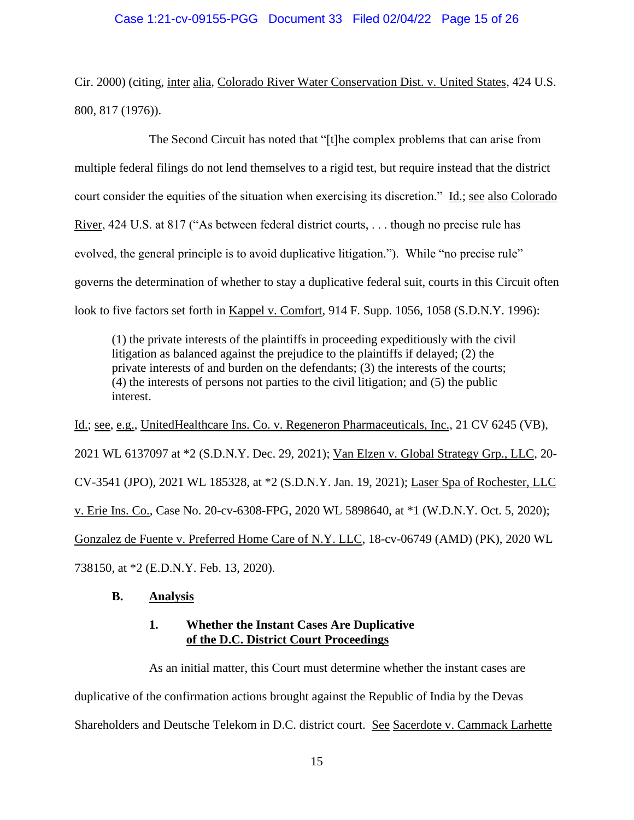Cir. 2000) (citing, inter alia, Colorado River Water Conservation Dist. v. United States, 424 U.S. 800, 817 (1976)).

The Second Circuit has noted that "[t]he complex problems that can arise from multiple federal filings do not lend themselves to a rigid test, but require instead that the district court consider the equities of the situation when exercising its discretion." Id.; see also Colorado River, 424 U.S. at 817 ("As between federal district courts, ... though no precise rule has evolved, the general principle is to avoid duplicative litigation."). While "no precise rule" governs the determination of whether to stay a duplicative federal suit, courts in this Circuit often look to five factors set forth in Kappel v. Comfort, 914 F. Supp. 1056, 1058 (S.D.N.Y. 1996):

(1) the private interests of the plaintiffs in proceeding expeditiously with the civil litigation as balanced against the prejudice to the plaintiffs if delayed; (2) the private interests of and burden on the defendants; (3) the interests of the courts; (4) the interests of persons not parties to the civil litigation; and (5) the public interest.

Id.; see, e.g., UnitedHealthcare Ins. Co. v. Regeneron Pharmaceuticals, Inc., 21 CV 6245 (VB), 2021 WL 6137097 at \*2 (S.D.N.Y. Dec. 29, 2021); Van Elzen v. Global Strategy Grp., LLC, 20- CV-3541 (JPO), 2021 WL 185328, at \*2 (S.D.N.Y. Jan. 19, 2021); Laser Spa of Rochester, LLC v. Erie Ins. Co., Case No. 20-cv-6308-FPG, 2020 WL 5898640, at \*1 (W.D.N.Y. Oct. 5, 2020); Gonzalez de Fuente v. Preferred Home Care of N.Y. LLC, 18-cv-06749 (AMD) (PK), 2020 WL 738150, at \*2 (E.D.N.Y. Feb. 13, 2020).

# **B. Analysis**

# **1. Whether the Instant Cases Are Duplicative of the D.C. District Court Proceedings**

As an initial matter, this Court must determine whether the instant cases are duplicative of the confirmation actions brought against the Republic of India by the Devas Shareholders and Deutsche Telekom in D.C. district court. See Sacerdote v. Cammack Larhette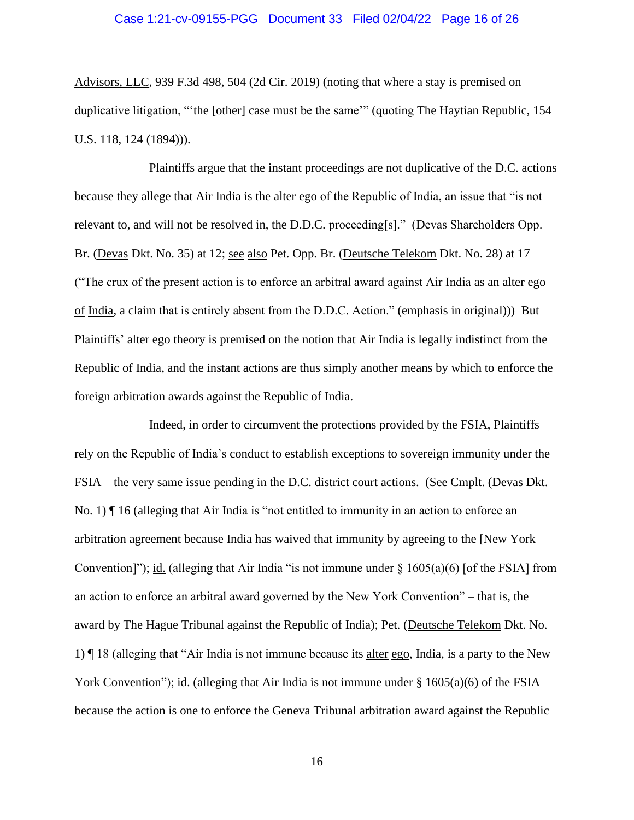Advisors, LLC, 939 F.3d 498, 504 (2d Cir. 2019) (noting that where a stay is premised on duplicative litigation, "'the [other] case must be the same'" (quoting The Haytian Republic, 154 U.S. 118, 124 (1894))).

Plaintiffs argue that the instant proceedings are not duplicative of the D.C. actions because they allege that Air India is the alter ego of the Republic of India, an issue that "is not relevant to, and will not be resolved in, the D.D.C. proceeding[s]." (Devas Shareholders Opp. Br. (Devas Dkt. No. 35) at 12; see also Pet. Opp. Br. (Deutsche Telekom Dkt. No. 28) at 17 ("The crux of the present action is to enforce an arbitral award against Air India as an alter ego of India, a claim that is entirely absent from the D.D.C. Action." (emphasis in original))) But Plaintiffs' alter ego theory is premised on the notion that Air India is legally indistinct from the Republic of India, and the instant actions are thus simply another means by which to enforce the foreign arbitration awards against the Republic of India.

Indeed, in order to circumvent the protections provided by the FSIA, Plaintiffs rely on the Republic of India's conduct to establish exceptions to sovereign immunity under the FSIA – the very same issue pending in the D.C. district court actions. (See Cmplt. (Devas Dkt. No. 1) ¶ 16 (alleging that Air India is "not entitled to immunity in an action to enforce an arbitration agreement because India has waived that immunity by agreeing to the [New York Convention]"); id. (alleging that Air India "is not immune under  $\S 1605(a)(6)$  [of the FSIA] from an action to enforce an arbitral award governed by the New York Convention" – that is, the award by The Hague Tribunal against the Republic of India); Pet. (Deutsche Telekom Dkt. No. 1)  $\P$  18 (alleging that "Air India is not immune because its <u>alter ego</u>, India, is a party to the New York Convention"); id. (alleging that Air India is not immune under  $\S$  1605(a)(6) of the FSIA because the action is one to enforce the Geneva Tribunal arbitration award against the Republic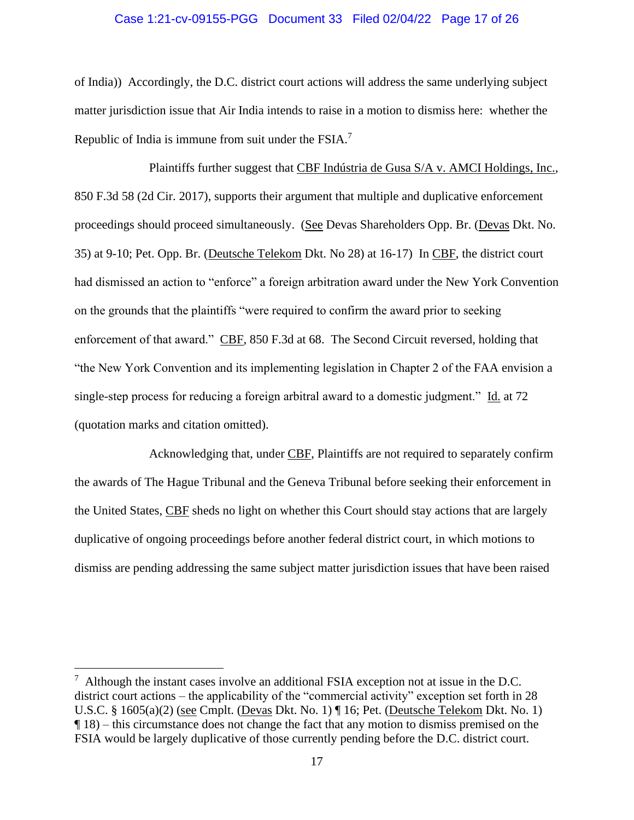# Case 1:21-cv-09155-PGG Document 33 Filed 02/04/22 Page 17 of 26

of India)) Accordingly, the D.C. district court actions will address the same underlying subject matter jurisdiction issue that Air India intends to raise in a motion to dismiss here: whether the Republic of India is immune from suit under the FSIA.<sup>7</sup>

Plaintiffs further suggest that CBF Indústria de Gusa S/A v. AMCI Holdings, Inc., 850 F.3d 58 (2d Cir. 2017), supports their argument that multiple and duplicative enforcement proceedings should proceed simultaneously. (See Devas Shareholders Opp. Br. (Devas Dkt. No. 35) at 9-10; Pet. Opp. Br. (Deutsche Telekom Dkt. No 28) at 16-17) In CBF, the district court had dismissed an action to "enforce" a foreign arbitration award under the New York Convention on the grounds that the plaintiffs "were required to confirm the award prior to seeking enforcement of that award." CBF, 850 F.3d at 68. The Second Circuit reversed, holding that "the New York Convention and its implementing legislation in Chapter 2 of the FAA envision a single-step process for reducing a foreign arbitral award to a domestic judgment." Id. at 72 (quotation marks and citation omitted).

Acknowledging that, under CBF, Plaintiffs are not required to separately confirm the awards of The Hague Tribunal and the Geneva Tribunal before seeking their enforcement in the United States, CBF sheds no light on whether this Court should stay actions that are largely duplicative of ongoing proceedings before another federal district court, in which motions to dismiss are pending addressing the same subject matter jurisdiction issues that have been raised

 $7$  Although the instant cases involve an additional FSIA exception not at issue in the D.C. district court actions – the applicability of the "commercial activity" exception set forth in 28 U.S.C. § 1605(a)(2) (see Cmplt. (Devas Dkt. No. 1) ¶ 16; Pet. (Deutsche Telekom Dkt. No. 1) ¶ 18) – this circumstance does not change the fact that any motion to dismiss premised on the FSIA would be largely duplicative of those currently pending before the D.C. district court.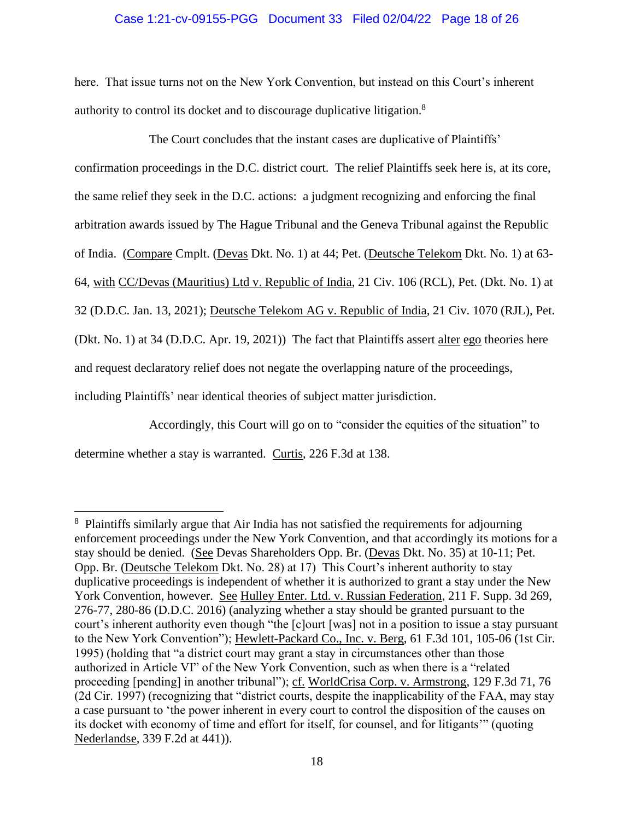# Case 1:21-cv-09155-PGG Document 33 Filed 02/04/22 Page 18 of 26

here. That issue turns not on the New York Convention, but instead on this Court's inherent authority to control its docket and to discourage duplicative litigation.<sup>8</sup>

The Court concludes that the instant cases are duplicative of Plaintiffs' confirmation proceedings in the D.C. district court. The relief Plaintiffs seek here is, at its core, the same relief they seek in the D.C. actions: a judgment recognizing and enforcing the final arbitration awards issued by The Hague Tribunal and the Geneva Tribunal against the Republic of India. (Compare Cmplt. (Devas Dkt. No. 1) at 44; Pet. (Deutsche Telekom Dkt. No. 1) at 63- 64, with CC/Devas (Mauritius) Ltd v. Republic of India, 21 Civ. 106 (RCL), Pet. (Dkt. No. 1) at 32 (D.D.C. Jan. 13, 2021); Deutsche Telekom AG v. Republic of India, 21 Civ. 1070 (RJL), Pet. (Dkt. No. 1) at 34 (D.D.C. Apr. 19, 2021)) The fact that Plaintiffs assert alter ego theories here and request declaratory relief does not negate the overlapping nature of the proceedings, including Plaintiffs' near identical theories of subject matter jurisdiction.

Accordingly, this Court will go on to "consider the equities of the situation" to determine whether a stay is warranted. Curtis, 226 F.3d at 138.

<sup>&</sup>lt;sup>8</sup> Plaintiffs similarly argue that Air India has not satisfied the requirements for adjourning enforcement proceedings under the New York Convention, and that accordingly its motions for a stay should be denied. (See Devas Shareholders Opp. Br. (Devas Dkt. No. 35) at 10-11; Pet. Opp. Br. (Deutsche Telekom Dkt. No. 28) at 17) This Court's inherent authority to stay duplicative proceedings is independent of whether it is authorized to grant a stay under the New York Convention, however. See Hulley Enter. Ltd. v. Russian Federation, 211 F. Supp. 3d 269, 276-77, 280-86 (D.D.C. 2016) (analyzing whether a stay should be granted pursuant to the court's inherent authority even though "the [c]ourt [was] not in a position to issue a stay pursuant to the New York Convention"); Hewlett-Packard Co., Inc. v. Berg, 61 F.3d 101, 105-06 (1st Cir. 1995) (holding that "a district court may grant a stay in circumstances other than those authorized in Article VI" of the New York Convention, such as when there is a "related proceeding [pending] in another tribunal"); cf. WorldCrisa Corp. v. Armstrong, 129 F.3d 71, 76 (2d Cir. 1997) (recognizing that "district courts, despite the inapplicability of the FAA, may stay a case pursuant to 'the power inherent in every court to control the disposition of the causes on its docket with economy of time and effort for itself, for counsel, and for litigants'" (quoting Nederlandse, 339 F.2d at 441)).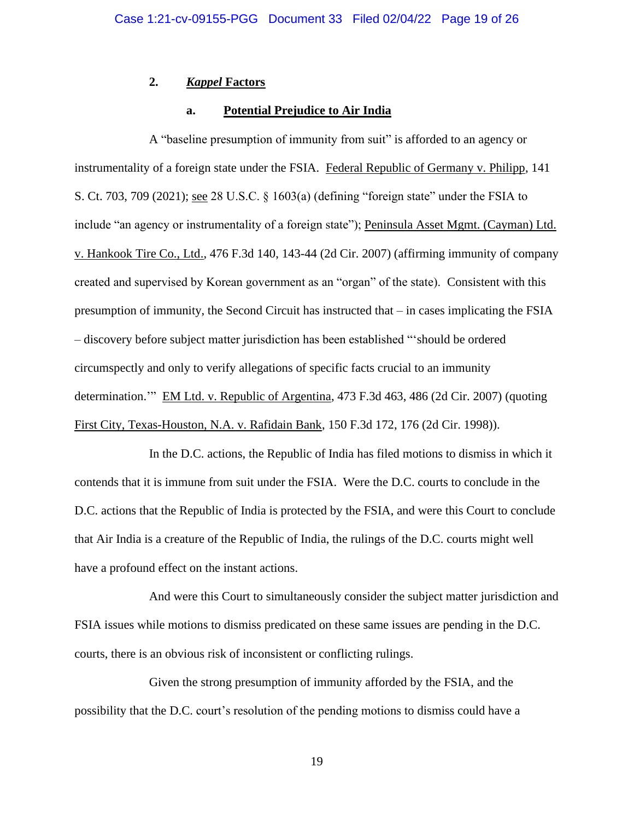# **2.** *Kappel* **Factors**

# **a. Potential Prejudice to Air India**

A "baseline presumption of immunity from suit" is afforded to an agency or instrumentality of a foreign state under the FSIA. Federal Republic of Germany v. Philipp, 141 S. Ct. 703, 709 (2021); see 28 U.S.C. § 1603(a) (defining "foreign state" under the FSIA to include "an agency or instrumentality of a foreign state"); Peninsula Asset Mgmt. (Cayman) Ltd. v. Hankook Tire Co., Ltd., 476 F.3d 140, 143-44 (2d Cir. 2007) (affirming immunity of company created and supervised by Korean government as an "organ" of the state). Consistent with this presumption of immunity, the Second Circuit has instructed that – in cases implicating the FSIA – discovery before subject matter jurisdiction has been established "'should be ordered circumspectly and only to verify allegations of specific facts crucial to an immunity determination.'" EM Ltd. v. Republic of Argentina, 473 F.3d 463, 486 (2d Cir. 2007) (quoting First City, Texas-Houston, N.A. v. Rafidain Bank, 150 F.3d 172, 176 (2d Cir. 1998)).

In the D.C. actions, the Republic of India has filed motions to dismiss in which it contends that it is immune from suit under the FSIA. Were the D.C. courts to conclude in the D.C. actions that the Republic of India is protected by the FSIA, and were this Court to conclude that Air India is a creature of the Republic of India, the rulings of the D.C. courts might well have a profound effect on the instant actions.

And were this Court to simultaneously consider the subject matter jurisdiction and FSIA issues while motions to dismiss predicated on these same issues are pending in the D.C. courts, there is an obvious risk of inconsistent or conflicting rulings.

Given the strong presumption of immunity afforded by the FSIA, and the possibility that the D.C. court's resolution of the pending motions to dismiss could have a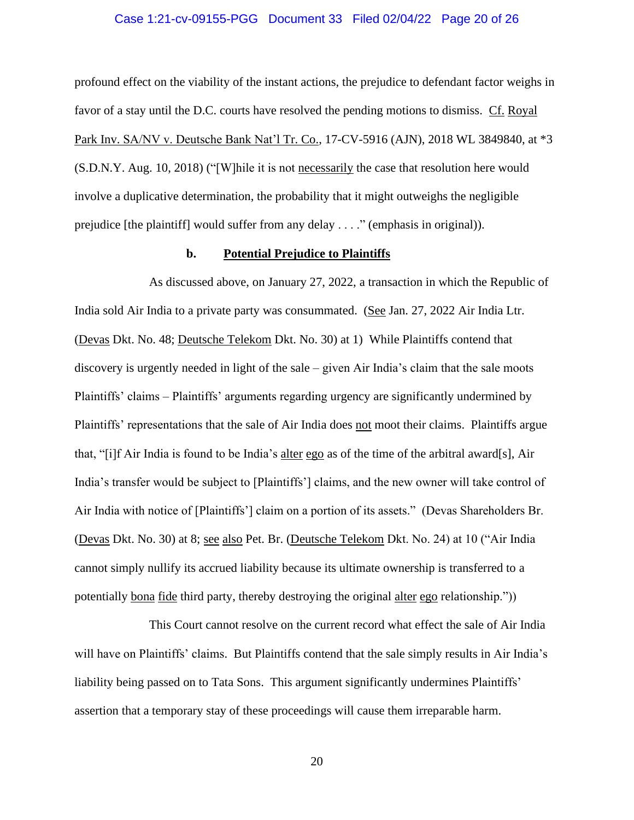## Case 1:21-cv-09155-PGG Document 33 Filed 02/04/22 Page 20 of 26

profound effect on the viability of the instant actions, the prejudice to defendant factor weighs in favor of a stay until the D.C. courts have resolved the pending motions to dismiss. Cf. Royal Park Inv. SA/NV v. Deutsche Bank Nat'l Tr. Co., 17-CV-5916 (AJN), 2018 WL 3849840, at \*3 (S.D.N.Y. Aug. 10, 2018) ("[W]hile it is not necessarily the case that resolution here would involve a duplicative determination, the probability that it might outweighs the negligible prejudice [the plaintiff] would suffer from any delay . . . ." (emphasis in original)).

# **b. Potential Prejudice to Plaintiffs**

As discussed above, on January 27, 2022, a transaction in which the Republic of India sold Air India to a private party was consummated. (See Jan. 27, 2022 Air India Ltr. (Devas Dkt. No. 48; Deutsche Telekom Dkt. No. 30) at 1) While Plaintiffs contend that discovery is urgently needed in light of the sale – given Air India's claim that the sale moots Plaintiffs' claims – Plaintiffs' arguments regarding urgency are significantly undermined by Plaintiffs' representations that the sale of Air India does not moot their claims. Plaintiffs argue that, "[i]f Air India is found to be India's alter ego as of the time of the arbitral award[s], Air India's transfer would be subject to [Plaintiffs'] claims, and the new owner will take control of Air India with notice of [Plaintiffs'] claim on a portion of its assets." (Devas Shareholders Br. (Devas Dkt. No. 30) at 8; see also Pet. Br. (Deutsche Telekom Dkt. No. 24) at 10 ("Air India cannot simply nullify its accrued liability because its ultimate ownership is transferred to a potentially bona fide third party, thereby destroying the original alter ego relationship."))

This Court cannot resolve on the current record what effect the sale of Air India will have on Plaintiffs' claims. But Plaintiffs contend that the sale simply results in Air India's liability being passed on to Tata Sons. This argument significantly undermines Plaintiffs' assertion that a temporary stay of these proceedings will cause them irreparable harm.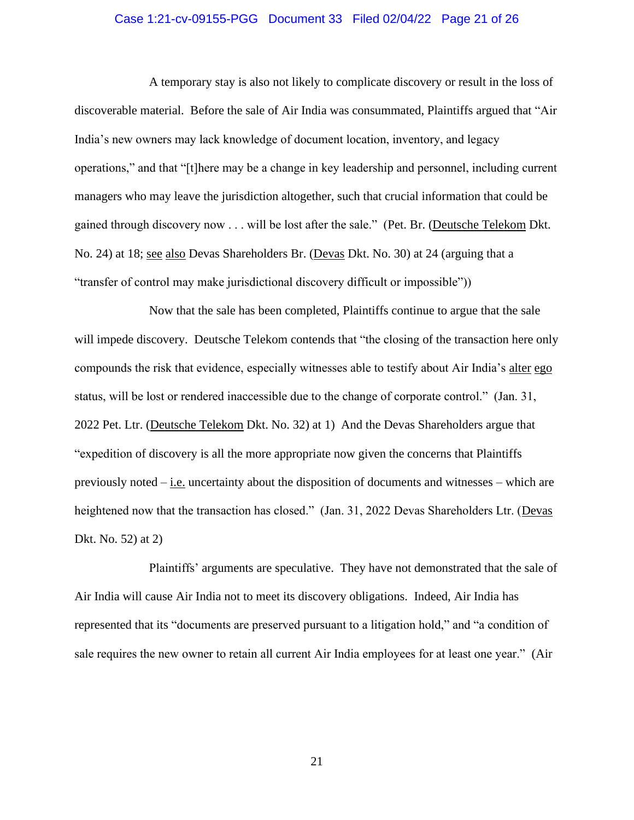# Case 1:21-cv-09155-PGG Document 33 Filed 02/04/22 Page 21 of 26

A temporary stay is also not likely to complicate discovery or result in the loss of discoverable material. Before the sale of Air India was consummated, Plaintiffs argued that "Air India's new owners may lack knowledge of document location, inventory, and legacy operations," and that "[t]here may be a change in key leadership and personnel, including current managers who may leave the jurisdiction altogether, such that crucial information that could be gained through discovery now . . . will be lost after the sale." (Pet. Br. (Deutsche Telekom Dkt. No. 24) at 18; see also Devas Shareholders Br. (Devas Dkt. No. 30) at 24 (arguing that a "transfer of control may make jurisdictional discovery difficult or impossible"))

Now that the sale has been completed, Plaintiffs continue to argue that the sale will impede discovery. Deutsche Telekom contends that "the closing of the transaction here only compounds the risk that evidence, especially witnesses able to testify about Air India's alter ego status, will be lost or rendered inaccessible due to the change of corporate control." (Jan. 31, 2022 Pet. Ltr. (Deutsche Telekom Dkt. No. 32) at 1) And the Devas Shareholders argue that "expedition of discovery is all the more appropriate now given the concerns that Plaintiffs previously noted – i.e. uncertainty about the disposition of documents and witnesses – which are heightened now that the transaction has closed." (Jan. 31, 2022 Devas Shareholders Ltr. (Devas Dkt. No. 52) at 2)

Plaintiffs' arguments are speculative. They have not demonstrated that the sale of Air India will cause Air India not to meet its discovery obligations. Indeed, Air India has represented that its "documents are preserved pursuant to a litigation hold," and "a condition of sale requires the new owner to retain all current Air India employees for at least one year." (Air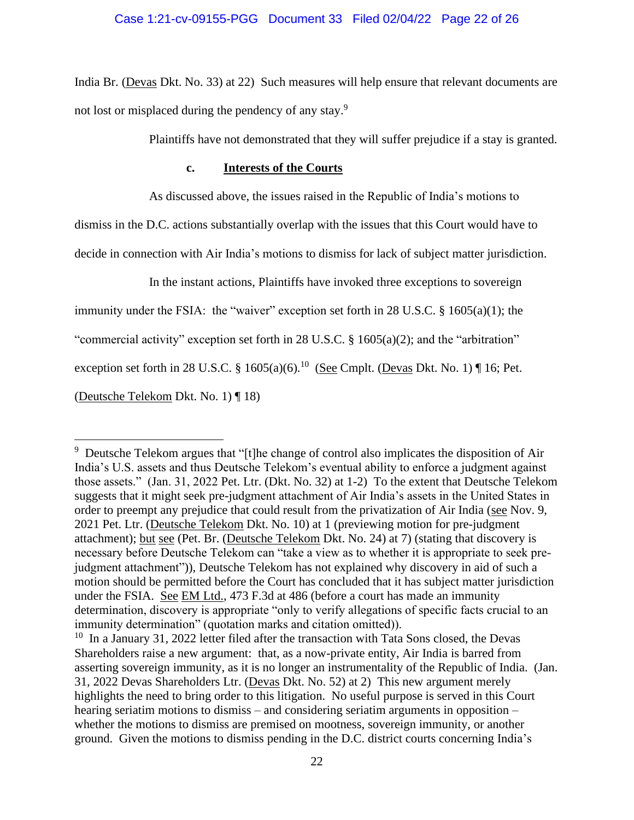India Br. (Devas Dkt. No. 33) at 22) Such measures will help ensure that relevant documents are not lost or misplaced during the pendency of any stay.<sup>9</sup>

Plaintiffs have not demonstrated that they will suffer prejudice if a stay is granted.

# **c. Interests of the Courts**

As discussed above, the issues raised in the Republic of India's motions to

dismiss in the D.C. actions substantially overlap with the issues that this Court would have to

decide in connection with Air India's motions to dismiss for lack of subject matter jurisdiction.

In the instant actions, Plaintiffs have invoked three exceptions to sovereign

immunity under the FSIA: the "waiver" exception set forth in 28 U.S.C. § 1605(a)(1); the

"commercial activity" exception set forth in 28 U.S.C. § 1605(a)(2); and the "arbitration"

exception set forth in 28 U.S.C. § 1605(a)(6).<sup>10</sup> (See Cmplt. (Devas Dkt. No. 1) ¶ 16; Pet.

(Deutsche Telekom Dkt. No. 1) ¶ 18)

<sup>&</sup>lt;sup>9</sup> Deutsche Telekom argues that "[t]he change of control also implicates the disposition of Air India's U.S. assets and thus Deutsche Telekom's eventual ability to enforce a judgment against those assets." (Jan. 31, 2022 Pet. Ltr. (Dkt. No. 32) at 1-2) To the extent that Deutsche Telekom suggests that it might seek pre-judgment attachment of Air India's assets in the United States in order to preempt any prejudice that could result from the privatization of Air India (see Nov. 9, 2021 Pet. Ltr. (Deutsche Telekom Dkt. No. 10) at 1 (previewing motion for pre-judgment attachment); but see (Pet. Br. (Deutsche Telekom Dkt. No. 24) at 7) (stating that discovery is necessary before Deutsche Telekom can "take a view as to whether it is appropriate to seek prejudgment attachment")), Deutsche Telekom has not explained why discovery in aid of such a motion should be permitted before the Court has concluded that it has subject matter jurisdiction under the FSIA. See EM Ltd., 473 F.3d at 486 (before a court has made an immunity determination, discovery is appropriate "only to verify allegations of specific facts crucial to an immunity determination" (quotation marks and citation omitted)).

 $10$  In a January 31, 2022 letter filed after the transaction with Tata Sons closed, the Devas Shareholders raise a new argument: that, as a now-private entity, Air India is barred from asserting sovereign immunity, as it is no longer an instrumentality of the Republic of India. (Jan. 31, 2022 Devas Shareholders Ltr. (Devas Dkt. No. 52) at 2) This new argument merely highlights the need to bring order to this litigation. No useful purpose is served in this Court hearing seriatim motions to dismiss – and considering seriatim arguments in opposition – whether the motions to dismiss are premised on mootness, sovereign immunity, or another ground. Given the motions to dismiss pending in the D.C. district courts concerning India's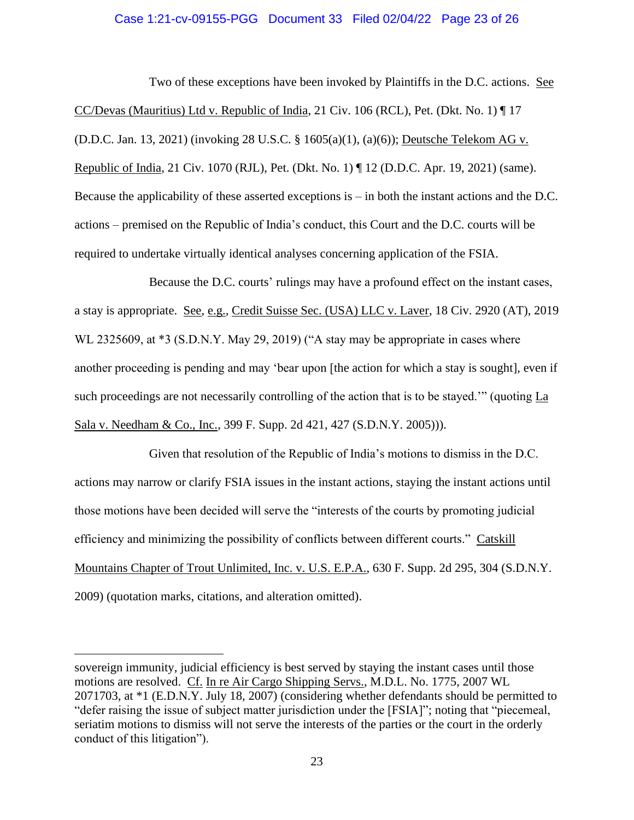# Case 1:21-cv-09155-PGG Document 33 Filed 02/04/22 Page 23 of 26

Two of these exceptions have been invoked by Plaintiffs in the D.C. actions. See CC/Devas (Mauritius) Ltd v. Republic of India, 21 Civ. 106 (RCL), Pet. (Dkt. No. 1) ¶ 17 (D.D.C. Jan. 13, 2021) (invoking 28 U.S.C. § 1605(a)(1), (a)(6)); Deutsche Telekom AG v. Republic of India, 21 Civ. 1070 (RJL), Pet. (Dkt. No. 1) ¶ 12 (D.D.C. Apr. 19, 2021) (same). Because the applicability of these asserted exceptions is – in both the instant actions and the D.C. actions – premised on the Republic of India's conduct, this Court and the D.C. courts will be required to undertake virtually identical analyses concerning application of the FSIA.

Because the D.C. courts' rulings may have a profound effect on the instant cases, a stay is appropriate. See, e.g., Credit Suisse Sec. (USA) LLC v. Laver, 18 Civ. 2920 (AT), 2019 WL 2325609, at \*3 (S.D.N.Y. May 29, 2019) ("A stay may be appropriate in cases where another proceeding is pending and may 'bear upon [the action for which a stay is sought], even if such proceedings are not necessarily controlling of the action that is to be stayed.'" (quoting La Sala v. Needham & Co., Inc., 399 F. Supp. 2d 421, 427 (S.D.N.Y. 2005))).

Given that resolution of the Republic of India's motions to dismiss in the D.C. actions may narrow or clarify FSIA issues in the instant actions, staying the instant actions until those motions have been decided will serve the "interests of the courts by promoting judicial efficiency and minimizing the possibility of conflicts between different courts." Catskill Mountains Chapter of Trout Unlimited, Inc. v. U.S. E.P.A., 630 F. Supp. 2d 295, 304 (S.D.N.Y. 2009) (quotation marks, citations, and alteration omitted).

sovereign immunity, judicial efficiency is best served by staying the instant cases until those motions are resolved. Cf. In re Air Cargo Shipping Servs., M.D.L. No. 1775, 2007 WL 2071703, at \*1 (E.D.N.Y. July 18, 2007) (considering whether defendants should be permitted to "defer raising the issue of subject matter jurisdiction under the [FSIA]"; noting that "piecemeal, seriatim motions to dismiss will not serve the interests of the parties or the court in the orderly conduct of this litigation").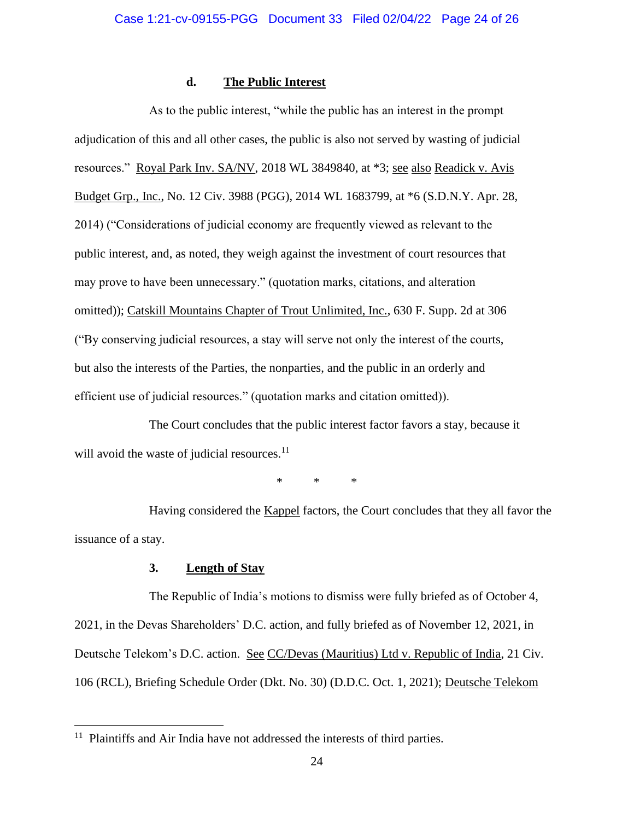# **d. The Public Interest**

As to the public interest, "while the public has an interest in the prompt adjudication of this and all other cases, the public is also not served by wasting of judicial resources." Royal Park Inv. SA/NV, 2018 WL 3849840, at \*3; see also Readick v. Avis Budget Grp., Inc., No. 12 Civ. 3988 (PGG), 2014 WL 1683799, at \*6 (S.D.N.Y. Apr. 28, 2014) ("Considerations of judicial economy are frequently viewed as relevant to the public interest, and, as noted, they weigh against the investment of court resources that may prove to have been unnecessary." (quotation marks, citations, and alteration omitted)); Catskill Mountains Chapter of Trout Unlimited, Inc., 630 F. Supp. 2d at 306 ("By conserving judicial resources, a stay will serve not only the interest of the courts, but also the interests of the Parties, the nonparties, and the public in an orderly and efficient use of judicial resources." (quotation marks and citation omitted)).

The Court concludes that the public interest factor favors a stay, because it will avoid the waste of judicial resources. $<sup>11</sup>$ </sup>

\* \* \*

Having considered the Kappel factors, the Court concludes that they all favor the issuance of a stay.

# **3. Length of Stay**

The Republic of India's motions to dismiss were fully briefed as of October 4, 2021, in the Devas Shareholders' D.C. action, and fully briefed as of November 12, 2021, in Deutsche Telekom's D.C. action. See CC/Devas (Mauritius) Ltd v. Republic of India, 21 Civ. 106 (RCL), Briefing Schedule Order (Dkt. No. 30) (D.D.C. Oct. 1, 2021); Deutsche Telekom

<sup>&</sup>lt;sup>11</sup> Plaintiffs and Air India have not addressed the interests of third parties.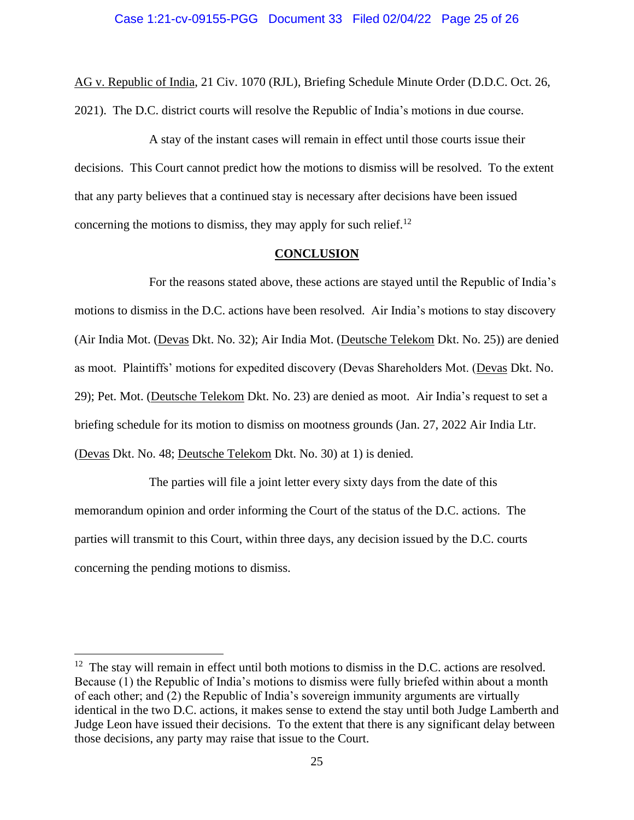AG v. Republic of India, 21 Civ. 1070 (RJL), Briefing Schedule Minute Order (D.D.C. Oct. 26, 2021). The D.C. district courts will resolve the Republic of India's motions in due course.

A stay of the instant cases will remain in effect until those courts issue their decisions. This Court cannot predict how the motions to dismiss will be resolved. To the extent that any party believes that a continued stay is necessary after decisions have been issued concerning the motions to dismiss, they may apply for such relief.<sup>12</sup>

#### **CONCLUSION**

For the reasons stated above, these actions are stayed until the Republic of India's motions to dismiss in the D.C. actions have been resolved. Air India's motions to stay discovery (Air India Mot. (Devas Dkt. No. 32); Air India Mot. (Deutsche Telekom Dkt. No. 25)) are denied as moot. Plaintiffs' motions for expedited discovery (Devas Shareholders Mot. (Devas Dkt. No. 29); Pet. Mot. (Deutsche Telekom Dkt. No. 23) are denied as moot. Air India's request to set a briefing schedule for its motion to dismiss on mootness grounds (Jan. 27, 2022 Air India Ltr. (Devas Dkt. No. 48; Deutsche Telekom Dkt. No. 30) at 1) is denied.

The parties will file a joint letter every sixty days from the date of this memorandum opinion and order informing the Court of the status of the D.C. actions. The parties will transmit to this Court, within three days, any decision issued by the D.C. courts concerning the pending motions to dismiss.

 $12$  The stay will remain in effect until both motions to dismiss in the D.C. actions are resolved. Because (1) the Republic of India's motions to dismiss were fully briefed within about a month of each other; and (2) the Republic of India's sovereign immunity arguments are virtually identical in the two D.C. actions, it makes sense to extend the stay until both Judge Lamberth and Judge Leon have issued their decisions. To the extent that there is any significant delay between those decisions, any party may raise that issue to the Court.